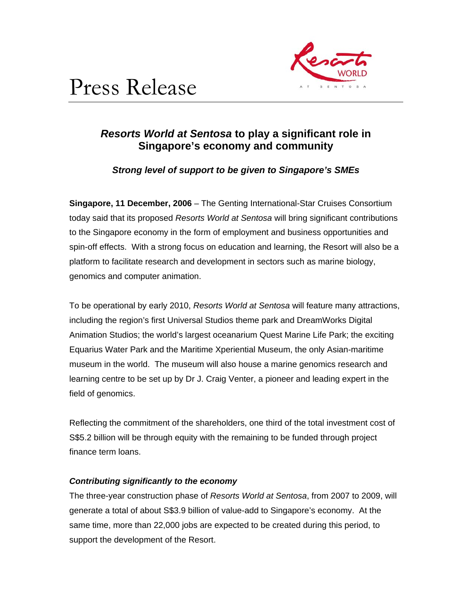



# *Resorts World at Sentosa* **to play a significant role in Singapore's economy and community**

# *Strong level of support to be given to Singapore's SMEs*

**Singapore, 11 December, 2006** – The Genting International-Star Cruises Consortium today said that its proposed *Resorts World at Sentosa* will bring significant contributions to the Singapore economy in the form of employment and business opportunities and spin-off effects. With a strong focus on education and learning, the Resort will also be a platform to facilitate research and development in sectors such as marine biology, genomics and computer animation.

To be operational by early 2010, *Resorts World at Sentosa* will feature many attractions, including the region's first Universal Studios theme park and DreamWorks Digital Animation Studios; the world's largest oceanarium Quest Marine Life Park; the exciting Equarius Water Park and the Maritime Xperiential Museum, the only Asian-maritime museum in the world. The museum will also house a marine genomics research and learning centre to be set up by Dr J. Craig Venter, a pioneer and leading expert in the field of genomics.

Reflecting the commitment of the shareholders, one third of the total investment cost of S\$5.2 billion will be through equity with the remaining to be funded through project finance term loans.

## *Contributing significantly to the economy*

The three-year construction phase of *Resorts World at Sentosa*, from 2007 to 2009, will generate a total of about S\$3.9 billion of value-add to Singapore's economy. At the same time, more than 22,000 jobs are expected to be created during this period, to support the development of the Resort.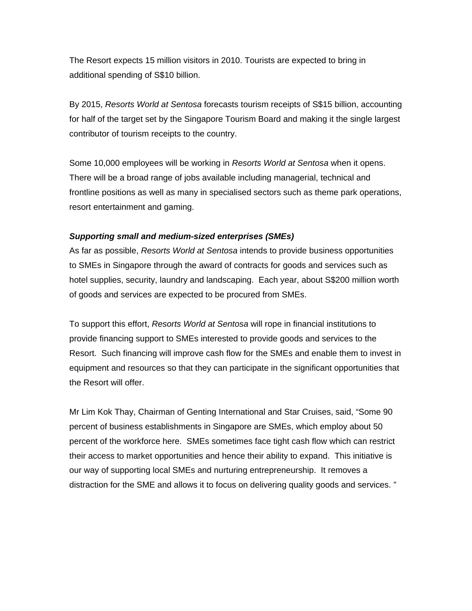The Resort expects 15 million visitors in 2010. Tourists are expected to bring in additional spending of S\$10 billion.

By 2015, *Resorts World at Sentosa* forecasts tourism receipts of S\$15 billion, accounting for half of the target set by the Singapore Tourism Board and making it the single largest contributor of tourism receipts to the country.

Some 10,000 employees will be working in *Resorts World at Sentosa* when it opens. There will be a broad range of jobs available including managerial, technical and frontline positions as well as many in specialised sectors such as theme park operations, resort entertainment and gaming.

### *Supporting small and medium-sized enterprises (SMEs)*

As far as possible, *Resorts World at Sentosa* intends to provide business opportunities to SMEs in Singapore through the award of contracts for goods and services such as hotel supplies, security, laundry and landscaping. Each year, about S\$200 million worth of goods and services are expected to be procured from SMEs.

To support this effort, *Resorts World at Sentosa* will rope in financial institutions to provide financing support to SMEs interested to provide goods and services to the Resort. Such financing will improve cash flow for the SMEs and enable them to invest in equipment and resources so that they can participate in the significant opportunities that the Resort will offer.

Mr Lim Kok Thay, Chairman of Genting International and Star Cruises, said, "Some 90 percent of business establishments in Singapore are SMEs, which employ about 50 percent of the workforce here. SMEs sometimes face tight cash flow which can restrict their access to market opportunities and hence their ability to expand. This initiative is our way of supporting local SMEs and nurturing entrepreneurship. It removes a distraction for the SME and allows it to focus on delivering quality goods and services. "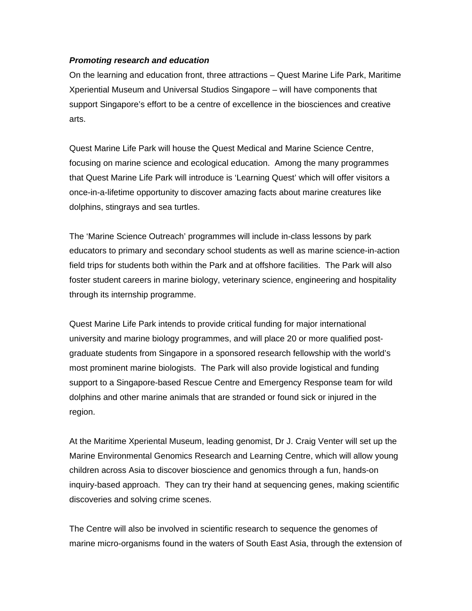#### *Promoting research and education*

On the learning and education front, three attractions – Quest Marine Life Park, Maritime Xperiential Museum and Universal Studios Singapore – will have components that support Singapore's effort to be a centre of excellence in the biosciences and creative arts.

Quest Marine Life Park will house the Quest Medical and Marine Science Centre, focusing on marine science and ecological education. Among the many programmes that Quest Marine Life Park will introduce is 'Learning Quest' which will offer visitors a once-in-a-lifetime opportunity to discover amazing facts about marine creatures like dolphins, stingrays and sea turtles.

The 'Marine Science Outreach' programmes will include in-class lessons by park educators to primary and secondary school students as well as marine science-in-action field trips for students both within the Park and at offshore facilities. The Park will also foster student careers in marine biology, veterinary science, engineering and hospitality through its internship programme.

Quest Marine Life Park intends to provide critical funding for major international university and marine biology programmes, and will place 20 or more qualified postgraduate students from Singapore in a sponsored research fellowship with the world's most prominent marine biologists. The Park will also provide logistical and funding support to a Singapore-based Rescue Centre and Emergency Response team for wild dolphins and other marine animals that are stranded or found sick or injured in the region.

At the Maritime Xperiental Museum, leading genomist, Dr J. Craig Venter will set up the Marine Environmental Genomics Research and Learning Centre, which will allow young children across Asia to discover bioscience and genomics through a fun, hands-on inquiry-based approach. They can try their hand at sequencing genes, making scientific discoveries and solving crime scenes.

The Centre will also be involved in scientific research to sequence the genomes of marine micro-organisms found in the waters of South East Asia, through the extension of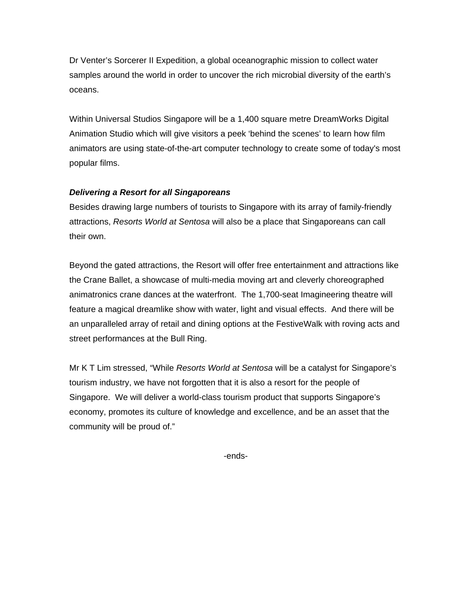Dr Venter's Sorcerer II Expedition, a global oceanographic mission to collect water samples around the world in order to uncover the rich microbial diversity of the earth's oceans.

Within Universal Studios Singapore will be a 1,400 square metre DreamWorks Digital Animation Studio which will give visitors a peek 'behind the scenes' to learn how film animators are using state-of-the-art computer technology to create some of today's most popular films.

### *Delivering a Resort for all Singaporeans*

Besides drawing large numbers of tourists to Singapore with its array of family-friendly attractions, *Resorts World at Sentosa* will also be a place that Singaporeans can call their own.

Beyond the gated attractions, the Resort will offer free entertainment and attractions like the Crane Ballet, a showcase of multi-media moving art and cleverly choreographed animatronics crane dances at the waterfront. The 1,700-seat Imagineering theatre will feature a magical dreamlike show with water, light and visual effects. And there will be an unparalleled array of retail and dining options at the FestiveWalk with roving acts and street performances at the Bull Ring.

Mr K T Lim stressed, "While *Resorts World at Sentosa* will be a catalyst for Singapore's tourism industry, we have not forgotten that it is also a resort for the people of Singapore. We will deliver a world-class tourism product that supports Singapore's economy, promotes its culture of knowledge and excellence, and be an asset that the community will be proud of."

-ends-